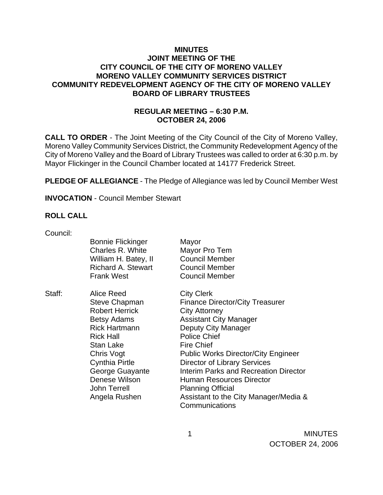### **MINUTES JOINT MEETING OF THE CITY COUNCIL OF THE CITY OF MORENO VALLEY MORENO VALLEY COMMUNITY SERVICES DISTRICT COMMUNITY REDEVELOPMENT AGENCY OF THE CITY OF MORENO VALLEY BOARD OF LIBRARY TRUSTEES**

## **REGULAR MEETING – 6:30 P.M. OCTOBER 24, 2006**

**CALL TO ORDER** - The Joint Meeting of the City Council of the City of Moreno Valley, Moreno Valley Community Services District, the Community Redevelopment Agency of the City of Moreno Valley and the Board of Library Trustees was called to order at 6:30 p.m. by Mayor Flickinger in the Council Chamber located at 14177 Frederick Street.

**PLEDGE OF ALLEGIANCE** - The Pledge of Allegiance was led by Council Member West

**INVOCATION** - Council Member Stewart

### **ROLL CALL**

Council:

|        | <b>Bonnie Flickinger</b><br>Charles R. White<br>William H. Batey, II<br><b>Richard A. Stewart</b><br><b>Frank West</b>                                                                                                                                               | Mayor<br>Mayor Pro Tem<br><b>Council Member</b><br><b>Council Member</b><br><b>Council Member</b>                                                                                                                                                                                                                                                                                                                                               |
|--------|----------------------------------------------------------------------------------------------------------------------------------------------------------------------------------------------------------------------------------------------------------------------|-------------------------------------------------------------------------------------------------------------------------------------------------------------------------------------------------------------------------------------------------------------------------------------------------------------------------------------------------------------------------------------------------------------------------------------------------|
| Staff: | Alice Reed<br><b>Steve Chapman</b><br><b>Robert Herrick</b><br><b>Betsy Adams</b><br><b>Rick Hartmann</b><br><b>Rick Hall</b><br><b>Stan Lake</b><br>Chris Vogt<br><b>Cynthia Pirtle</b><br>George Guayante<br>Denese Wilson<br><b>John Terrell</b><br>Angela Rushen | <b>City Clerk</b><br><b>Finance Director/City Treasurer</b><br><b>City Attorney</b><br><b>Assistant City Manager</b><br>Deputy City Manager<br><b>Police Chief</b><br><b>Fire Chief</b><br><b>Public Works Director/City Engineer</b><br><b>Director of Library Services</b><br>Interim Parks and Recreation Director<br><b>Human Resources Director</b><br><b>Planning Official</b><br>Assistant to the City Manager/Media &<br>Communications |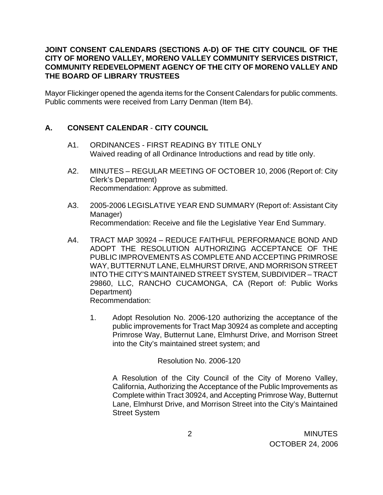### **JOINT CONSENT CALENDARS (SECTIONS A-D) OF THE CITY COUNCIL OF THE CITY OF MORENO VALLEY, MORENO VALLEY COMMUNITY SERVICES DISTRICT, COMMUNITY REDEVELOPMENT AGENCY OF THE CITY OF MORENO VALLEY AND THE BOARD OF LIBRARY TRUSTEES**

Mayor Flickinger opened the agenda items for the Consent Calendars for public comments. Public comments were received from Larry Denman (Item B4).

## **A. CONSENT CALENDAR** - **CITY COUNCIL**

- A1. ORDINANCES FIRST READING BY TITLE ONLY Waived reading of all Ordinance Introductions and read by title only.
- A2. MINUTES REGULAR MEETING OF OCTOBER 10, 2006 (Report of: City Clerk's Department) Recommendation: Approve as submitted.
- A3. 2005-2006 LEGISLATIVE YEAR END SUMMARY (Report of: Assistant City Manager) Recommendation: Receive and file the Legislative Year End Summary.
- A4. TRACT MAP 30924 REDUCE FAITHFUL PERFORMANCE BOND AND ADOPT THE RESOLUTION AUTHORIZING ACCEPTANCE OF THE PUBLIC IMPROVEMENTS AS COMPLETE AND ACCEPTING PRIMROSE WAY, BUTTERNUT LANE, ELMHURST DRIVE, AND MORRISON STREET INTO THE CITY'S MAINTAINED STREET SYSTEM, SUBDIVIDER – TRACT 29860, LLC, RANCHO CUCAMONGA, CA (Report of: Public Works Department) Recommendation:
	- 1. Adopt Resolution No. 2006-120 authorizing the acceptance of the public improvements for Tract Map 30924 as complete and accepting Primrose Way, Butternut Lane, Elmhurst Drive, and Morrison Street into the City's maintained street system; and

Resolution No. 2006-120

 A Resolution of the City Council of the City of Moreno Valley, California, Authorizing the Acceptance of the Public Improvements as Complete within Tract 30924, and Accepting Primrose Way, Butternut Lane, Elmhurst Drive, and Morrison Street into the City's Maintained Street System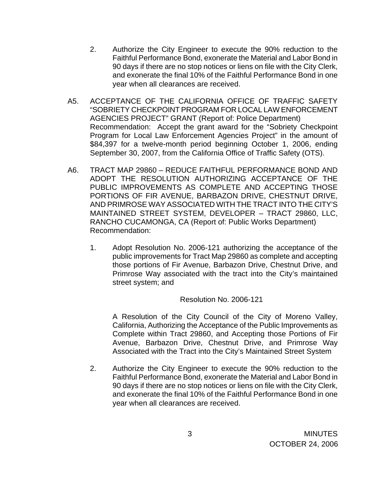- 2. Authorize the City Engineer to execute the 90% reduction to the Faithful Performance Bond, exonerate the Material and Labor Bond in 90 days if there are no stop notices or liens on file with the City Clerk, and exonerate the final 10% of the Faithful Performance Bond in one year when all clearances are received.
- A5. ACCEPTANCE OF THE CALIFORNIA OFFICE OF TRAFFIC SAFETY "SOBRIETY CHECKPOINT PROGRAM FOR LOCAL LAW ENFORCEMENT AGENCIES PROJECT" GRANT (Report of: Police Department) Recommendation: Accept the grant award for the "Sobriety Checkpoint Program for Local Law Enforcement Agencies Project" in the amount of \$84,397 for a twelve-month period beginning October 1, 2006, ending September 30, 2007, from the California Office of Traffic Safety (OTS).
- A6. TRACT MAP 29860 REDUCE FAITHFUL PERFORMANCE BOND AND ADOPT THE RESOLUTION AUTHORIZING ACCEPTANCE OF THE PUBLIC IMPROVEMENTS AS COMPLETE AND ACCEPTING THOSE PORTIONS OF FIR AVENUE, BARBAZON DRIVE, CHESTNUT DRIVE, AND PRIMROSE WAY ASSOCIATED WITH THE TRACT INTO THE CITY'S MAINTAINED STREET SYSTEM, DEVELOPER – TRACT 29860, LLC, RANCHO CUCAMONGA, CA (Report of: Public Works Department) Recommendation:
	- 1. Adopt Resolution No. 2006-121 authorizing the acceptance of the public improvements for Tract Map 29860 as complete and accepting those portions of Fir Avenue, Barbazon Drive, Chestnut Drive, and Primrose Way associated with the tract into the City's maintained street system; and

### Resolution No. 2006-121

 A Resolution of the City Council of the City of Moreno Valley, California, Authorizing the Acceptance of the Public Improvements as Complete within Tract 29860, and Accepting those Portions of Fir Avenue, Barbazon Drive, Chestnut Drive, and Primrose Way Associated with the Tract into the City's Maintained Street System

 2. Authorize the City Engineer to execute the 90% reduction to the Faithful Performance Bond, exonerate the Material and Labor Bond in 90 days if there are no stop notices or liens on file with the City Clerk, and exonerate the final 10% of the Faithful Performance Bond in one year when all clearances are received.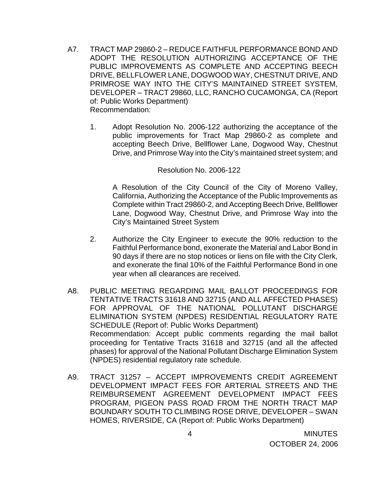- A7. TRACT MAP 29860-2 REDUCE FAITHFUL PERFORMANCE BOND AND ADOPT THE RESOLUTION AUTHORIZING ACCEPTANCE OF THE PUBLIC IMPROVEMENTS AS COMPLETE AND ACCEPTING BEECH DRIVE, BELLFLOWER LANE, DOGWOOD WAY, CHESTNUT DRIVE, AND PRIMROSE WAY INTO THE CITY'S MAINTAINED STREET SYSTEM, DEVELOPER – TRACT 29860, LLC, RANCHO CUCAMONGA, CA (Report of: Public Works Department) Recommendation:
	- 1. Adopt Resolution No. 2006-122 authorizing the acceptance of the public improvements for Tract Map 29860-2 as complete and accepting Beech Drive, Bellflower Lane, Dogwood Way, Chestnut Drive, and Primrose Way into the City's maintained street system; and

#### Resolution No. 2006-122

 A Resolution of the City Council of the City of Moreno Valley, California, Authorizing the Acceptance of the Public Improvements as Complete within Tract 29860-2, and Accepting Beech Drive, Bellflower Lane, Dogwood Way, Chestnut Drive, and Primrose Way into the City's Maintained Street System

- 2. Authorize the City Engineer to execute the 90% reduction to the Faithful Performance bond, exonerate the Material and Labor Bond in 90 days if there are no stop notices or liens on file with the City Clerk, and exonerate the final 10% of the Faithful Performance Bond in one year when all clearances are received.
- A8. PUBLIC MEETING REGARDING MAIL BALLOT PROCEEDINGS FOR TENTATIVE TRACTS 31618 AND 32715 (AND ALL AFFECTED PHASES) FOR APPROVAL OF THE NATIONAL POLLUTANT DISCHARGE ELIMINATION SYSTEM (NPDES) RESIDENTIAL REGULATORY RATE SCHEDULE (Report of: Public Works Department) Recommendation: Accept public comments regarding the mail ballot proceeding for Tentative Tracts 31618 and 32715 (and all the affected phases) for approval of the National Pollutant Discharge Elimination System (NPDES) residential regulatory rate schedule.
- A9. TRACT 31257 ACCEPT IMPROVEMENTS CREDIT AGREEMENT DEVELOPMENT IMPACT FEES FOR ARTERIAL STREETS AND THE REIMBURSEMENT AGREEMENT DEVELOPMENT IMPACT FEES PROGRAM, PIGEON PASS ROAD FROM THE NORTH TRACT MAP BOUNDARY SOUTH TO CLIMBING ROSE DRIVE, DEVELOPER – SWAN HOMES, RIVERSIDE, CA (Report of: Public Works Department)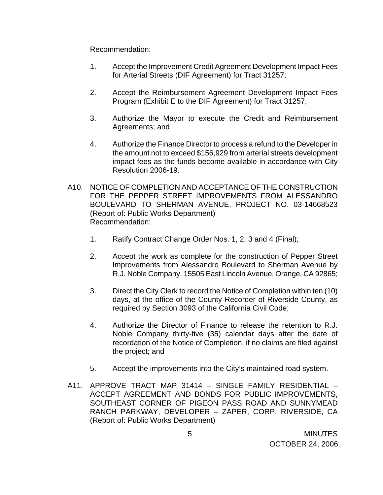Recommendation:

- 1. Accept the Improvement Credit Agreement Development Impact Fees for Arterial Streets (DIF Agreement) for Tract 31257;
- 2. Accept the Reimbursement Agreement Development Impact Fees Program (Exhibit E to the DIF Agreement) for Tract 31257;
- 3. Authorize the Mayor to execute the Credit and Reimbursement Agreements; and
- 4. Authorize the Finance Director to process a refund to the Developer in the amount not to exceed \$156,929 from arterial streets development impact fees as the funds become available in accordance with City Resolution 2006-19.
- A10. NOTICE OF COMPLETION AND ACCEPTANCE OF THE CONSTRUCTION FOR THE PEPPER STREET IMPROVEMENTS FROM ALESSANDRO BOULEVARD TO SHERMAN AVENUE, PROJECT NO. 03-14668523 (Report of: Public Works Department) Recommendation:
	- 1. Ratify Contract Change Order Nos. 1, 2, 3 and 4 (Final);
	- 2. Accept the work as complete for the construction of Pepper Street Improvements from Alessandro Boulevard to Sherman Avenue by R.J. Noble Company, 15505 East Lincoln Avenue, Orange, CA 92865;
	- 3. Direct the City Clerk to record the Notice of Completion within ten (10) days, at the office of the County Recorder of Riverside County, as required by Section 3093 of the California Civil Code;
	- 4. Authorize the Director of Finance to release the retention to R.J. Noble Company thirty-five (35) calendar days after the date of recordation of the Notice of Completion, if no claims are filed against the project; and
	- 5. Accept the improvements into the City's maintained road system.
- A11. APPROVE TRACT MAP 31414 SINGLE FAMILY RESIDENTIAL ACCEPT AGREEMENT AND BONDS FOR PUBLIC IMPROVEMENTS, SOUTHEAST CORNER OF PIGEON PASS ROAD AND SUNNYMEAD RANCH PARKWAY, DEVELOPER – ZAPER, CORP, RIVERSIDE, CA (Report of: Public Works Department)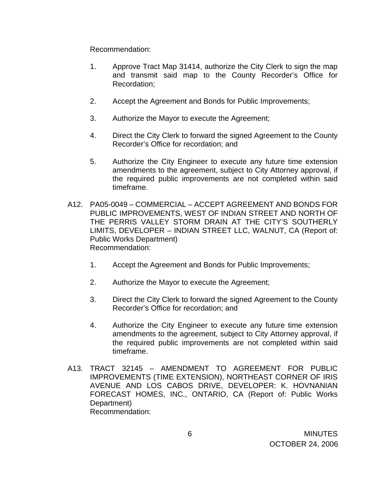Recommendation:

- 1. Approve Tract Map 31414, authorize the City Clerk to sign the map and transmit said map to the County Recorder's Office for Recordation;
- 2. Accept the Agreement and Bonds for Public Improvements;
- 3. Authorize the Mayor to execute the Agreement;
- 4. Direct the City Clerk to forward the signed Agreement to the County Recorder's Office for recordation; and
- 5. Authorize the City Engineer to execute any future time extension amendments to the agreement, subject to City Attorney approval, if the required public improvements are not completed within said timeframe.
- A12. PA05-0049 COMMERCIAL ACCEPT AGREEMENT AND BONDS FOR PUBLIC IMPROVEMENTS, WEST OF INDIAN STREET AND NORTH OF THE PERRIS VALLEY STORM DRAIN AT THE CITY'S SOUTHERLY LIMITS, DEVELOPER – INDIAN STREET LLC, WALNUT, CA (Report of: Public Works Department) Recommendation:
	- 1. Accept the Agreement and Bonds for Public Improvements;
	- 2. Authorize the Mayor to execute the Agreement;
	- 3. Direct the City Clerk to forward the signed Agreement to the County Recorder's Office for recordation; and
	- 4. Authorize the City Engineer to execute any future time extension amendments to the agreement, subject to City Attorney approval, if the required public improvements are not completed within said timeframe.
- A13. TRACT 32145 AMENDMENT TO AGREEMENT FOR PUBLIC IMPROVEMENTS (TIME EXTENSION), NORTHEAST CORNER OF IRIS AVENUE AND LOS CABOS DRIVE, DEVELOPER: K. HOVNANIAN FORECAST HOMES, INC., ONTARIO, CA (Report of: Public Works Department) Recommendation: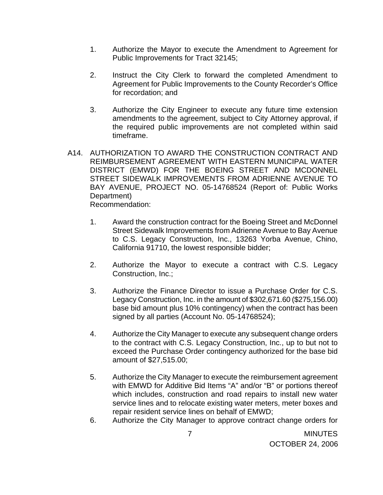- 1. Authorize the Mayor to execute the Amendment to Agreement for Public Improvements for Tract 32145;
- 2. Instruct the City Clerk to forward the completed Amendment to Agreement for Public Improvements to the County Recorder's Office for recordation; and
- 3. Authorize the City Engineer to execute any future time extension amendments to the agreement, subject to City Attorney approval, if the required public improvements are not completed within said timeframe.
- A14. AUTHORIZATION TO AWARD THE CONSTRUCTION CONTRACT AND REIMBURSEMENT AGREEMENT WITH EASTERN MUNICIPAL WATER DISTRICT (EMWD) FOR THE BOEING STREET AND MCDONNEL STREET SIDEWALK IMPROVEMENTS FROM ADRIENNE AVENUE TO BAY AVENUE, PROJECT NO. 05-14768524 (Report of: Public Works Department) Recommendation:
	- 1. Award the construction contract for the Boeing Street and McDonnel Street Sidewalk Improvements from Adrienne Avenue to Bay Avenue to C.S. Legacy Construction, Inc., 13263 Yorba Avenue, Chino, California 91710, the lowest responsible bidder;
	- 2. Authorize the Mayor to execute a contract with C.S. Legacy Construction, Inc.;
	- 3. Authorize the Finance Director to issue a Purchase Order for C.S. Legacy Construction, Inc. in the amount of \$302,671.60 (\$275,156.00) base bid amount plus 10% contingency) when the contract has been signed by all parties (Account No. 05-14768524);
	- 4. Authorize the City Manager to execute any subsequent change orders to the contract with C.S. Legacy Construction, Inc., up to but not to exceed the Purchase Order contingency authorized for the base bid amount of \$27,515.00;
	- 5. Authorize the City Manager to execute the reimbursement agreement with EMWD for Additive Bid Items "A" and/or "B" or portions thereof which includes, construction and road repairs to install new water service lines and to relocate existing water meters, meter boxes and repair resident service lines on behalf of EMWD;
	- 6. Authorize the City Manager to approve contract change orders for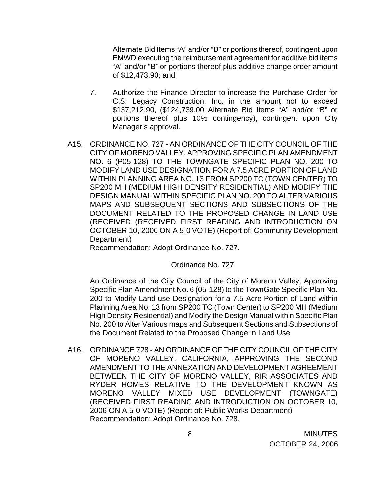Alternate Bid Items "A" and/or "B" or portions thereof, contingent upon EMWD executing the reimbursement agreement for additive bid items "A" and/or "B" or portions thereof plus additive change order amount of \$12,473.90; and

- 7. Authorize the Finance Director to increase the Purchase Order for C.S. Legacy Construction, Inc. in the amount not to exceed \$137,212.90, (\$124,739.00 Alternate Bid Items "A" and/or "B" or portions thereof plus 10% contingency), contingent upon City Manager's approval.
- A15. ORDINANCE NO. 727 AN ORDINANCE OF THE CITY COUNCIL OF THE CITY OF MORENO VALLEY, APPROVING SPECIFIC PLAN AMENDMENT NO. 6 (P05-128) TO THE TOWNGATE SPECIFIC PLAN NO. 200 TO MODIFY LAND USE DESIGNATION FOR A 7.5 ACRE PORTION OF LAND WITHIN PLANNING AREA NO. 13 FROM SP200 TC (TOWN CENTER) TO SP200 MH (MEDIUM HIGH DENSITY RESIDENTIAL) AND MODIFY THE DESIGN MANUAL WITHIN SPECIFIC PLAN NO. 200 TO ALTER VARIOUS MAPS AND SUBSEQUENT SECTIONS AND SUBSECTIONS OF THE DOCUMENT RELATED TO THE PROPOSED CHANGE IN LAND USE (RECEIVED (RECEIVED FIRST READING AND INTRODUCTION ON OCTOBER 10, 2006 ON A 5-0 VOTE) (Report of: Community Development Department)

Recommendation: Adopt Ordinance No. 727.

Ordinance No. 727

An Ordinance of the City Council of the City of Moreno Valley, Approving Specific Plan Amendment No. 6 (05-128) to the TownGate Specific Plan No. 200 to Modify Land use Designation for a 7.5 Acre Portion of Land within Planning Area No. 13 from SP200 TC (Town Center) to SP200 MH (Medium High Density Residential) and Modify the Design Manual within Specific Plan No. 200 to Alter Various maps and Subsequent Sections and Subsections of the Document Related to the Proposed Change in Land Use

A16. ORDINANCE 728 - AN ORDINANCE OF THE CITY COUNCIL OF THE CITY OF MORENO VALLEY, CALIFORNIA, APPROVING THE SECOND AMENDMENT TO THE ANNEXATION AND DEVELOPMENT AGREEMENT BETWEEN THE CITY OF MORENO VALLEY, RIR ASSOCIATES AND RYDER HOMES RELATIVE TO THE DEVELOPMENT KNOWN AS MORENO VALLEY MIXED USE DEVELOPMENT (TOWNGATE) (RECEIVED FIRST READING AND INTRODUCTION ON OCTOBER 10, 2006 ON A 5-0 VOTE) (Report of: Public Works Department) Recommendation: Adopt Ordinance No. 728.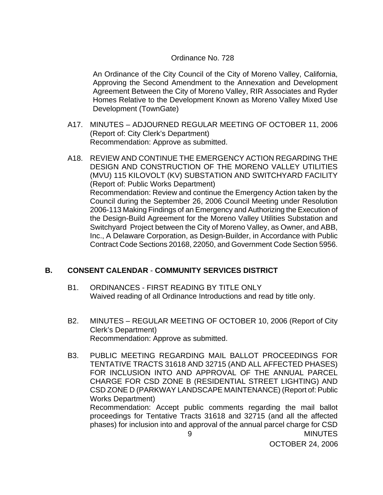#### Ordinance No. 728

An Ordinance of the City Council of the City of Moreno Valley, California, Approving the Second Amendment to the Annexation and Development Agreement Between the City of Moreno Valley, RIR Associates and Ryder Homes Relative to the Development Known as Moreno Valley Mixed Use Development (TownGate)

- A17. MINUTES ADJOURNED REGULAR MEETING OF OCTOBER 11, 2006 (Report of: City Clerk's Department) Recommendation: Approve as submitted.
- A18. REVIEW AND CONTINUE THE EMERGENCY ACTION REGARDING THE DESIGN AND CONSTRUCTION OF THE MORENO VALLEY UTILITIES (MVU) 115 KILOVOLT (KV) SUBSTATION AND SWITCHYARD FACILITY (Report of: Public Works Department) Recommendation: Review and continue the Emergency Action taken by the Council during the September 26, 2006 Council Meeting under Resolution 2006-113 Making Findings of an Emergency and Authorizing the Execution of the Design-Build Agreement for the Moreno Valley Utilities Substation and Switchyard Project between the City of Moreno Valley, as Owner, and ABB, Inc., A Delaware Corporation, as Design-Builder, in Accordance with Public Contract Code Sections 20168, 22050, and Government Code Section 5956.

### **B. CONSENT CALENDAR** - **COMMUNITY SERVICES DISTRICT**

- B1. ORDINANCES FIRST READING BY TITLE ONLY Waived reading of all Ordinance Introductions and read by title only.
- B2. MINUTES REGULAR MEETING OF OCTOBER 10, 2006 (Report of City Clerk's Department) Recommendation: Approve as submitted.
- B3. PUBLIC MEETING REGARDING MAIL BALLOT PROCEEDINGS FOR TENTATIVE TRACTS 31618 AND 32715 (AND ALL AFFECTED PHASES) FOR INCLUSION INTO AND APPROVAL OF THE ANNUAL PARCEL CHARGE FOR CSD ZONE B (RESIDENTIAL STREET LIGHTING) AND CSD ZONE D (PARKWAY LANDSCAPE MAINTENANCE) (Report of: Public Works Department) Recommendation: Accept public comments regarding the mail ballot

 9 MINUTES proceedings for Tentative Tracts 31618 and 32715 (and all the affected phases) for inclusion into and approval of the annual parcel charge for CSD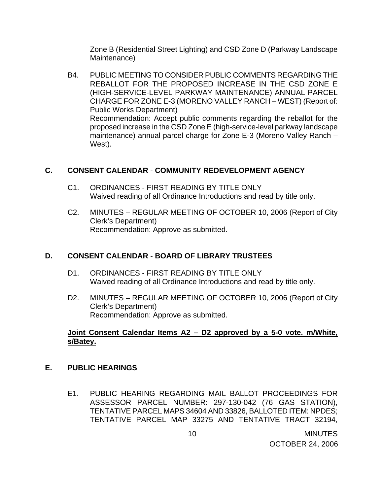Zone B (Residential Street Lighting) and CSD Zone D (Parkway Landscape Maintenance)

B4. PUBLIC MEETING TO CONSIDER PUBLIC COMMENTS REGARDING THE REBALLOT FOR THE PROPOSED INCREASE IN THE CSD ZONE E (HIGH-SERVICE-LEVEL PARKWAY MAINTENANCE) ANNUAL PARCEL CHARGE FOR ZONE E-3 (MORENO VALLEY RANCH – WEST) (Report of: Public Works Department) Recommendation: Accept public comments regarding the reballot for the proposed increase in the CSD Zone E (high-service-level parkway landscape maintenance) annual parcel charge for Zone E-3 (Moreno Valley Ranch – West).

### **C. CONSENT CALENDAR** - **COMMUNITY REDEVELOPMENT AGENCY**

- C1. ORDINANCES FIRST READING BY TITLE ONLY Waived reading of all Ordinance Introductions and read by title only.
- C2. MINUTES REGULAR MEETING OF OCTOBER 10, 2006 (Report of City Clerk's Department) Recommendation: Approve as submitted.

## **D. CONSENT CALENDAR** - **BOARD OF LIBRARY TRUSTEES**

- D1. ORDINANCES FIRST READING BY TITLE ONLY Waived reading of all Ordinance Introductions and read by title only.
- D2. MINUTES REGULAR MEETING OF OCTOBER 10, 2006 (Report of City Clerk's Department) Recommendation: Approve as submitted.

## **Joint Consent Calendar Items A2 – D2 approved by a 5-0 vote. m/White, s/Batey.**

### **E. PUBLIC HEARINGS**

E1. PUBLIC HEARING REGARDING MAIL BALLOT PROCEEDINGS FOR ASSESSOR PARCEL NUMBER: 297-130-042 (76 GAS STATION), TENTATIVE PARCEL MAPS 34604 AND 33826, BALLOTED ITEM: NPDES; TENTATIVE PARCEL MAP 33275 AND TENTATIVE TRACT 32194,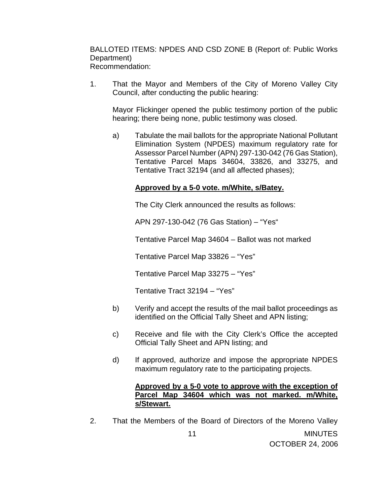BALLOTED ITEMS: NPDES AND CSD ZONE B (Report of: Public Works Department) Recommendation:

 1. That the Mayor and Members of the City of Moreno Valley City Council, after conducting the public hearing:

 Mayor Flickinger opened the public testimony portion of the public hearing; there being none, public testimony was closed.

 a) Tabulate the mail ballots for the appropriate National Pollutant Elimination System (NPDES) maximum regulatory rate for Assessor Parcel Number (APN) 297-130-042 (76 Gas Station), Tentative Parcel Maps 34604, 33826, and 33275, and Tentative Tract 32194 (and all affected phases);

### **Approved by a 5-0 vote. m/White, s/Batey.**

The City Clerk announced the results as follows:

APN 297-130-042 (76 Gas Station) – "Yes"

Tentative Parcel Map 34604 – Ballot was not marked

Tentative Parcel Map 33826 – "Yes"

Tentative Parcel Map 33275 – "Yes"

Tentative Tract 32194 – "Yes"

- b) Verify and accept the results of the mail ballot proceedings as identified on the Official Tally Sheet and APN listing;
- c) Receive and file with the City Clerk's Office the accepted Official Tally Sheet and APN listing; and
- d) If approved, authorize and impose the appropriate NPDES maximum regulatory rate to the participating projects.

### **Approved by a 5-0 vote to approve with the exception of Parcel Map 34604 which was not marked. m/White, s/Stewart.**

2. That the Members of the Board of Directors of the Moreno Valley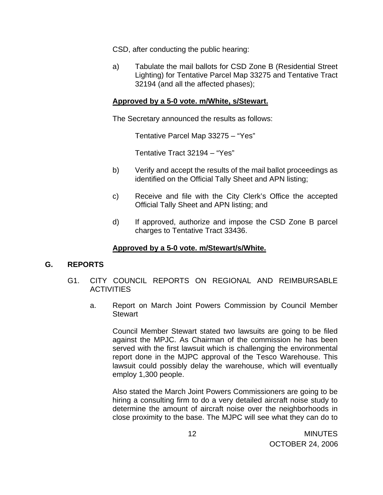CSD, after conducting the public hearing:

 a) Tabulate the mail ballots for CSD Zone B (Residential Street Lighting) for Tentative Parcel Map 33275 and Tentative Tract 32194 (and all the affected phases);

### **Approved by a 5-0 vote. m/White, s/Stewart.**

The Secretary announced the results as follows:

Tentative Parcel Map 33275 – "Yes"

Tentative Tract 32194 – "Yes"

- b) Verify and accept the results of the mail ballot proceedings as identified on the Official Tally Sheet and APN listing;
- c) Receive and file with the City Clerk's Office the accepted Official Tally Sheet and APN listing; and
- d) If approved, authorize and impose the CSD Zone B parcel charges to Tentative Tract 33436.

### **Approved by a 5-0 vote. m/Stewart/s/White.**

### **G. REPORTS**

- G1. CITY COUNCIL REPORTS ON REGIONAL AND REIMBURSABLE **ACTIVITIES** 
	- a. Report on March Joint Powers Commission by Council Member **Stewart**

 Council Member Stewart stated two lawsuits are going to be filed against the MPJC. As Chairman of the commission he has been served with the first lawsuit which is challenging the environmental report done in the MJPC approval of the Tesco Warehouse. This lawsuit could possibly delay the warehouse, which will eventually employ 1,300 people.

 Also stated the March Joint Powers Commissioners are going to be hiring a consulting firm to do a very detailed aircraft noise study to determine the amount of aircraft noise over the neighborhoods in close proximity to the base. The MJPC will see what they can do to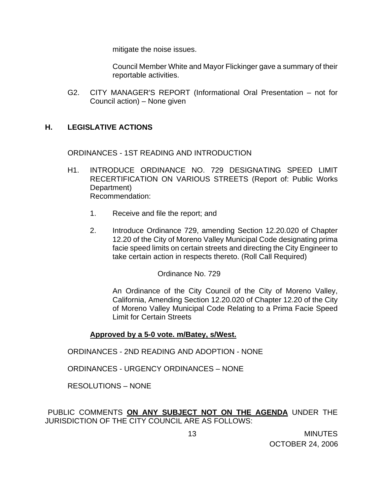mitigate the noise issues.

 Council Member White and Mayor Flickinger gave a summary of their reportable activities.

G2. CITY MANAGER'S REPORT (Informational Oral Presentation – not for Council action) – None given

## **H. LEGISLATIVE ACTIONS**

ORDINANCES - 1ST READING AND INTRODUCTION

- H1. INTRODUCE ORDINANCE NO. 729 DESIGNATING SPEED LIMIT RECERTIFICATION ON VARIOUS STREETS (Report of: Public Works Department) Recommendation:
	- 1. Receive and file the report; and
	- 2. Introduce Ordinance 729, amending Section 12.20.020 of Chapter 12.20 of the City of Moreno Valley Municipal Code designating prima facie speed limits on certain streets and directing the City Engineer to take certain action in respects thereto. (Roll Call Required)

Ordinance No. 729

 An Ordinance of the City Council of the City of Moreno Valley, California, Amending Section 12.20.020 of Chapter 12.20 of the City of Moreno Valley Municipal Code Relating to a Prima Facie Speed Limit for Certain Streets

#### **Approved by a 5-0 vote. m/Batey, s/West.**

ORDINANCES - 2ND READING AND ADOPTION - NONE

ORDINANCES - URGENCY ORDINANCES – NONE

RESOLUTIONS – NONE

PUBLIC COMMENTS **ON ANY SUBJECT NOT ON THE AGENDA** UNDER THE JURISDICTION OF THE CITY COUNCIL ARE AS FOLLOWS: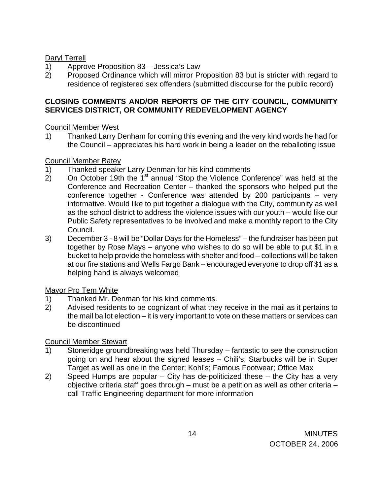## Daryl Terrell

- 1) Approve Proposition 83 Jessica's Law
- 2) Proposed Ordinance which will mirror Proposition 83 but is stricter with regard to residence of registered sex offenders (submitted discourse for the public record)

### **CLOSING COMMENTS AND/OR REPORTS OF THE CITY COUNCIL, COMMUNITY SERVICES DISTRICT, OR COMMUNITY REDEVELOPMENT AGENCY**

### Council Member West

1) Thanked Larry Denham for coming this evening and the very kind words he had for the Council – appreciates his hard work in being a leader on the reballoting issue

### Council Member Batey

- 1) Thanked speaker Larry Denman for his kind comments
- $2)$  On October 19th the 1<sup>st</sup> annual "Stop the Violence Conference" was held at the Conference and Recreation Center – thanked the sponsors who helped put the conference together - Conference was attended by 200 participants – very informative. Would like to put together a dialogue with the City, community as well as the school district to address the violence issues with our youth – would like our Public Safety representatives to be involved and make a monthly report to the City Council.
- 3) December 3 8 will be "Dollar Days for the Homeless" the fundraiser has been put together by Rose Mays – anyone who wishes to do so will be able to put \$1 in a bucket to help provide the homeless with shelter and food – collections will be taken at our fire stations and Wells Fargo Bank – encouraged everyone to drop off \$1 as a helping hand is always welcomed

## Mayor Pro Tem White

- 1) Thanked Mr. Denman for his kind comments.
- 2) Advised residents to be cognizant of what they receive in the mail as it pertains to the mail ballot election – it is very important to vote on these matters or services can be discontinued

## Council Member Stewart

- 1) Stoneridge groundbreaking was held Thursday fantastic to see the construction going on and hear about the signed leases – Chili's; Starbucks will be in Super Target as well as one in the Center; Kohl's; Famous Footwear; Office Max
- 2) Speed Humps are popular City has de-politicized these the City has a very objective criteria staff goes through – must be a petition as well as other criteria – call Traffic Engineering department for more information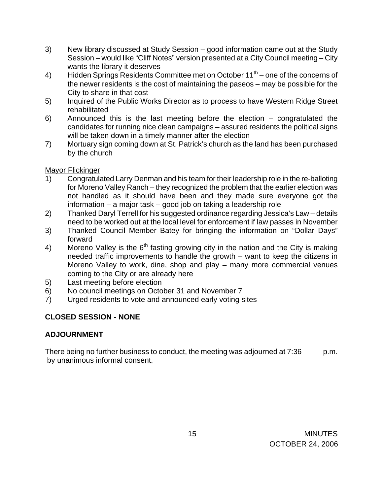- 3) New library discussed at Study Session good information came out at the Study Session – would like "Cliff Notes" version presented at a City Council meeting – City wants the library it deserves
- 4) Hidden Springs Residents Committee met on October 11<sup>th</sup> one of the concerns of the newer residents is the cost of maintaining the paseos – may be possible for the City to share in that cost
- 5) Inquired of the Public Works Director as to process to have Western Ridge Street rehabilitated
- 6) Announced this is the last meeting before the election congratulated the candidates for running nice clean campaigns – assured residents the political signs will be taken down in a timely manner after the election
- 7) Mortuary sign coming down at St. Patrick's church as the land has been purchased by the church

## Mayor Flickinger

- 1) Congratulated Larry Denman and his team for their leadership role in the re-balloting for Moreno Valley Ranch – they recognized the problem that the earlier election was not handled as it should have been and they made sure everyone got the information – a major task – good job on taking a leadership role
- 2) Thanked Daryl Terrell for his suggested ordinance regarding Jessica's Law details need to be worked out at the local level for enforcement if law passes in November
- 3) Thanked Council Member Batey for bringing the information on "Dollar Days" forward
- 4) Moreno Valley is the  $6<sup>th</sup>$  fasting growing city in the nation and the City is making needed traffic improvements to handle the growth – want to keep the citizens in Moreno Valley to work, dine, shop and play – many more commercial venues coming to the City or are already here
- 5) Last meeting before election
- 6) No council meetings on October 31 and November 7
- 7) Urged residents to vote and announced early voting sites

# **CLOSED SESSION - NONE**

## **ADJOURNMENT**

There being no further business to conduct, the meeting was adjourned at 7:36 p.m. by unanimous informal consent.